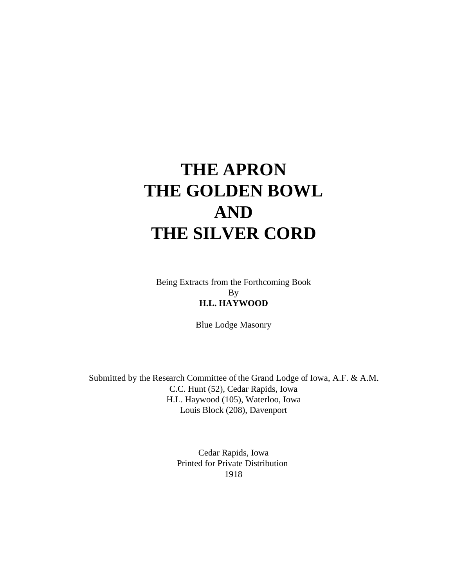# **THE APRON THE GOLDEN BOWL AND THE SILVER CORD**

Being Extracts from the Forthcoming Book By **H.L. HAYWOOD**

Blue Lodge Masonry

Submitted by the Research Committee of the Grand Lodge of Iowa, A.F. & A.M. C.C. Hunt (52), Cedar Rapids, Iowa H.L. Haywood (105), Waterloo, Iowa Louis Block (208), Davenport

> Cedar Rapids, Iowa Printed for Private Distribution 1918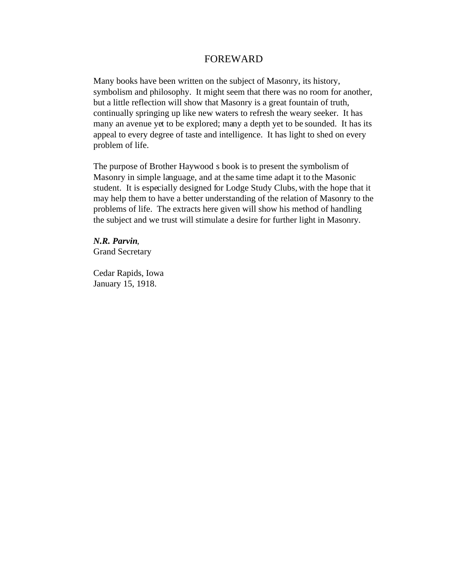## FOREWARD

Many books have been written on the subject of Masonry, its history, symbolism and philosophy. It might seem that there was no room for another, but a little reflection will show that Masonry is a great fountain of truth, continually springing up like new waters to refresh the weary seeker. It has many an avenue yet to be explored; many a depth yet to be sounded. It has its appeal to every degree of taste and intelligence. It has light to shed on every problem of life.

The purpose of Brother Haywood s book is to present the symbolism of Masonry in simple language, and at the same time adapt it to the Masonic student. It is especially designed for Lodge Study Clubs, with the hope that it may help them to have a better understanding of the relation of Masonry to the problems of life. The extracts here given will show his method of handling the subject and we trust will stimulate a desire for further light in Masonry.

*N.R. Parvin*, Grand Secretary

Cedar Rapids, Iowa January 15, 1918.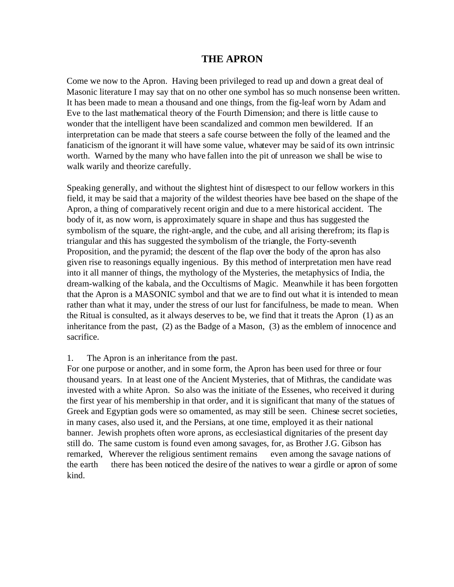# **THE APRON**

Come we now to the Apron. Having been privileged to read up and down a great deal of Masonic literature I may say that on no other one symbol has so much nonsense been written. It has been made to mean a thousand and one things, from the fig-leaf worn by Adam and Eve to the last mathematical theory of the Fourth Dimension; and there is little cause to wonder that the intelligent have been scandalized and common men bewildered. If an interpretation can be made that steers a safe course between the folly of the learned and the fanaticism of the ignorant it will have some value, whatever may be said of its own intrinsic worth. Warned by the many who have fallen into the pit of unreason we shall be wise to walk warily and theorize carefully.

Speaking generally, and without the slightest hint of disrespect to our fellow workers in this field, it may be said that a majority of the wildest theories have bee based on the shape of the Apron, a thing of comparatively recent origin and due to a mere historical accident. The body of it, as now worn, is approximately square in shape and thus has suggested the symbolism of the square, the right-angle, and the cube, and all arising therefrom; its flap is triangular and this has suggested the symbolism of the triangle, the Forty-seventh Proposition, and the pyramid; the descent of the flap over the body of the apron has also given rise to reasonings equally ingenious. By this method of interpretation men have read into it all manner of things, the mythology of the Mysteries, the metaphysics of India, the dream-walking of the kabala, and the Occultisms of Magic. Meanwhile it has been forgotten that the Apron is a MASONIC symbol and that we are to find out what it is intended to mean rather than what it may, under the stress of our lust for fancifulness, be made to mean. When the Ritual is consulted, as it always deserves to be, we find that it treats the Apron (1) as an inheritance from the past, (2) as the Badge of a Mason, (3) as the emblem of innocence and sacrifice.

# 1. The Apron is an inheritance from the past.

For one purpose or another, and in some form, the Apron has been used for three or four thousand years. In at least one of the Ancient Mysteries, that of Mithras, the candidate was invested with a white Apron. So also was the initiate of the Essenes, who received it during the first year of his membership in that order, and it is significant that many of the statues of Greek and Egyptian gods were so omamented, as may still be seen. Chinese secret societies, in many cases, also used it, and the Persians, at one time, employed it as their national banner. Jewish prophets often wore aprons, as ecclesiastical dignitaries of the present day still do. The same custom is found even among savages, for, as Brother J.G. Gibson has remarked, Wherever the religious sentiment remains even among the savage nations of the earth there has been noticed the desire of the natives to wear a girdle or apron of some kind.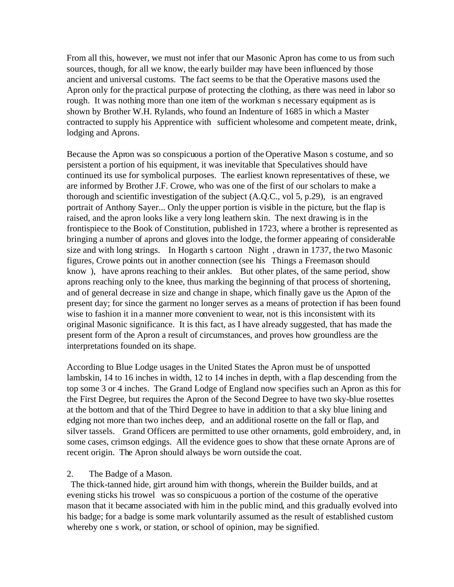From all this, however, we must not infer that our Masonic Apron has come to us from such sources, though, for all we know, the early builder may have been influenced by those ancient and universal customs. The fact seems to be that the Operative masons used the Apron only for the practical purpose of protecting the clothing, as there was need in labor so rough. It was nothing more than one item of the workman s necessary equipment as is shown by Brother W.H. Rylands, who found an Indenture of 1685 in which a Master contracted to supply his Apprentice with sufficient wholesome and competent meate, drink, lodging and Aprons.

Because the Apron was so conspicuous a portion of the Operative Mason s costume, and so persistent a portion of his equipment, it was inevitable that Speculatives should have continued its use for symbolical purposes. The earliest known representatives of these, we are informed by Brother J.F. Crowe, who was one of the first of our scholars to make a thorough and scientific investigation of the subject (A.Q.C., vol 5, p.29), is an engraved portrait of Anthony Sayer... Only the upper portion is visible in the picture, but the flap is raised, and the apron looks like a very long leathern skin. The next drawing is in the frontispiece to the Book of Constitution, published in 1723, where a brother is represented as bringing a number of aprons and gloves into the lodge, the former appearing of considerable size and with long strings. In Hogarth s cartoon Night, drawn in 1737, the two Masonic figures, Crowe points out in another connection (see his Things a Freemason should know ), have aprons reaching to their ankles. But other plates, of the same period, show aprons reaching only to the knee, thus marking the beginning of that process of shortening, and of general decrease in size and change in shape, which finally gave us the Apron of the present day; for since the garment no longer serves as a means of protection if has been found wise to fashion it in a manner more convenient to wear, not is this inconsistent with its original Masonic significance. It is this fact, as I have already suggested, that has made the present form of the Apron a result of circumstances, and proves how groundless are the interpretations founded on its shape.

According to Blue Lodge usages in the United States the Apron must be of unspotted lambskin, 14 to 16 inches in width, 12 to 14 inches in depth, with a flap descending from the top some 3 or 4 inches. The Grand Lodge of England now specifies such an Apron as this for the First Degree, but requires the Apron of the Second Degree to have two sky-blue rosettes at the bottom and that of the Third Degree to have in addition to that a sky blue lining and edging not more than two inches deep, and an additional rosette on the fall or flap, and silver tassels. Grand Officers are permitted to use other ornaments, gold embroidery, and, in some cases, crimson edgings. All the evidence goes to show that these ornate Aprons are of recent origin. The Apron should always be worn outside the coat.

#### 2. The Badge of a Mason.

 The thick-tanned hide, girt around him with thongs, wherein the Builder builds, and at evening sticks his trowel was so conspicuous a portion of the costume of the operative mason that it became associated with him in the public mind, and this gradually evolved into his badge; for a badge is some mark voluntarily assumed as the result of established custom whereby one s work, or station, or school of opinion, may be signified.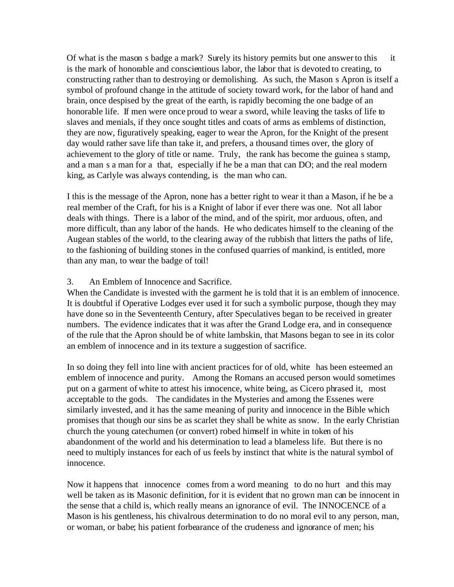Of what is the mason s badge a mark? Surely its history permits but one answer to this it is the mark of honorable and conscientious labor, the labor that is devoted to creating, to constructing rather than to destroying or demolishing. As such, the Mason s Apron is itself a symbol of profound change in the attitude of society toward work, for the labor of hand and brain, once despised by the great of the earth, is rapidly becoming the one badge of an honorable life. If men were once proud to wear a sword, while leaving the tasks of life to slaves and menials, if they once sought titles and coats of arms as emblems of distinction, they are now, figuratively speaking, eager to wear the Apron, for the Knight of the present day would rather save life than take it, and prefers, a thousand times over, the glory of achievement to the glory of title or name. Truly, the rank has become the guinea s stamp, and a man s a man for a that, especially if he be a man that can DO; and the real modern king, as Carlyle was always contending, is the man who can.

I this is the message of the Apron, none has a better right to wear it than a Mason, if he be a real member of the Craft, for his is a Knight of labor if ever there was one. Not all labor deals with things. There is a labor of the mind, and of the spirit, mor arduous, often, and more difficult, than any labor of the hands. He who dedicates himself to the cleaning of the Augean stables of the world, to the clearing away of the rubbish that litters the paths of life, to the fashioning of building stones in the confused quarries of mankind, is entitled, more than any man, to wear the badge of toil!

## 3. An Emblem of Innocence and Sacrifice.

When the Candidate is invested with the garment he is told that it is an emblem of innocence. It is doubtful if Operative Lodges ever used it for such a symbolic purpose, though they may have done so in the Seventeenth Century, after Speculatives began to be received in greater numbers. The evidence indicates that it was after the Grand Lodge era, and in consequence of the rule that the Apron should be of white lambskin, that Masons began to see in its color an emblem of innocence and in its texture a suggestion of sacrifice.

In so doing they fell into line with ancient practices for of old, white has been esteemed an emblem of innocence and purity. Among the Romans an accused person would sometimes put on a garment of white to attest his innocence, white being, as Cicero phrased it, most acceptable to the gods. The candidates in the Mysteries and among the Essenes were similarly invested, and it has the same meaning of purity and innocence in the Bible which promises that though our sins be as scarlet they shall be white as snow. In the early Christian church the young catechumen (or convert) robed himself in white in token of his abandonment of the world and his determination to lead a blameless life. But there is no need to multiply instances for each of us feels by instinct that white is the natural symbol of innocence.

Now it happens that innocence comes from a word meaning to do no hurt and this may well be taken as its Masonic definition, for it is evident that no grown man can be innocent in the sense that a child is, which really means an ignorance of evil. The INNOCENCE of a Mason is his gentleness, his chivalrous determination to do no moral evil to any person, man, or woman, or babe; his patient forbearance of the crudeness and ignorance of men; his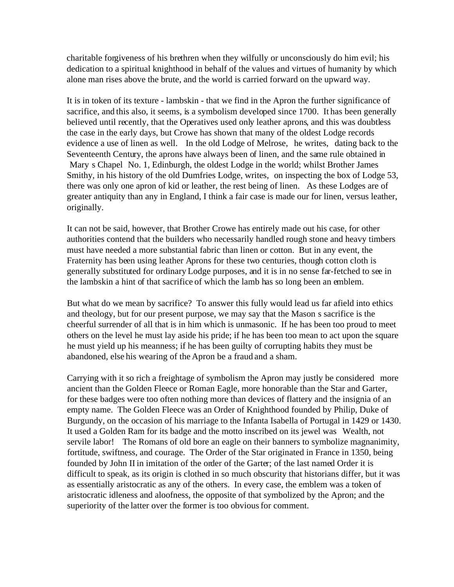charitable forgiveness of his brethren when they wilfully or unconsciously do him evil; his dedication to a spiritual knighthood in behalf of the values and virtues of humanity by which alone man rises above the brute, and the world is carried forward on the upward way.

It is in token of its texture - lambskin - that we find in the Apron the further significance of sacrifice, and this also, it seems, is a symbolism developed since 1700. It has been generally believed until recently, that the Operatives used only leather aprons, and this was doubtless the case in the early days, but Crowe has shown that many of the oldest Lodge records evidence a use of linen as well. In the old Lodge of Melrose, he writes, dating back to the Seventeenth Century, the aprons have always been of linen, and the same rule obtained in Mary s Chapel No. 1, Edinburgh, the oldest Lodge in the world; whilst Brother James Smithy, in his history of the old Dumfries Lodge, writes, on inspecting the box of Lodge 53, there was only one apron of kid or leather, the rest being of linen. As these Lodges are of greater antiquity than any in England, I think a fair case is made our for linen, versus leather, originally.

It can not be said, however, that Brother Crowe has entirely made out his case, for other authorities contend that the builders who necessarily handled rough stone and heavy timbers must have needed a more substantial fabric than linen or cotton. But in any event, the Fraternity has been using leather Aprons for these two centuries, though cotton cloth is generally substituted for ordinary Lodge purposes, and it is in no sense far-fetched to see in the lambskin a hint of that sacrifice of which the lamb has so long been an emblem.

But what do we mean by sacrifice? To answer this fully would lead us far afield into ethics and theology, but for our present purpose, we may say that the Mason s sacrifice is the cheerful surrender of all that is in him which is unmasonic. If he has been too proud to meet others on the level he must lay aside his pride; if he has been too mean to act upon the square he must yield up his meanness; if he has been guilty of corrupting habits they must be abandoned, else his wearing of the Apron be a fraud and a sham.

Carrying with it so rich a freightage of symbolism the Apron may justly be considered more ancient than the Golden Fleece or Roman Eagle, more honorable than the Star and Garter, for these badges were too often nothing more than devices of flattery and the insignia of an empty name. The Golden Fleece was an Order of Knighthood founded by Philip, Duke of Burgundy, on the occasion of his marriage to the Infanta Isabella of Portugal in 1429 or 1430. It used a Golden Ram for its badge and the motto inscribed on its jewel was Wealth, not servile labor! The Romans of old bore an eagle on their banners to symbolize magnanimity, fortitude, swiftness, and courage. The Order of the Star originated in France in 1350, being founded by John II in imitation of the order of the Garter; of the last named Order it is difficult to speak, as its origin is clothed in so much obscurity that historians differ, but it was as essentially aristocratic as any of the others. In every case, the emblem was a token of aristocratic idleness and aloofness, the opposite of that symbolized by the Apron; and the superiority of the latter over the former is too obvious for comment.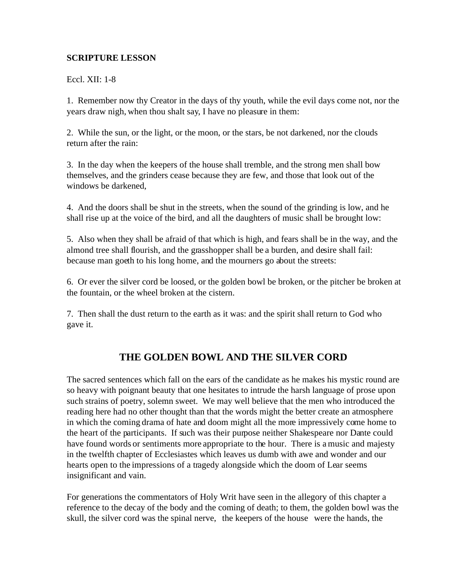## **SCRIPTURE LESSON**

Eccl. XII: 1-8

1. Remember now thy Creator in the days of thy youth, while the evil days come not, nor the years draw nigh, when thou shalt say, I have no pleasure in them:

2. While the sun, or the light, or the moon, or the stars, be not darkened, nor the clouds return after the rain:

3. In the day when the keepers of the house shall tremble, and the strong men shall bow themselves, and the grinders cease because they are few, and those that look out of the windows be darkened,

4. And the doors shall be shut in the streets, when the sound of the grinding is low, and he shall rise up at the voice of the bird, and all the daughters of music shall be brought low:

5. Also when they shall be afraid of that which is high, and fears shall be in the way, and the almond tree shall flourish, and the grasshopper shall be a burden, and desire shall fail: because man goeth to his long home, and the mourners go about the streets:

6. Or ever the silver cord be loosed, or the golden bowl be broken, or the pitcher be broken at the fountain, or the wheel broken at the cistern.

7. Then shall the dust return to the earth as it was: and the spirit shall return to God who gave it.

# **THE GOLDEN BOWL AND THE SILVER CORD**

The sacred sentences which fall on the ears of the candidate as he makes his mystic round are so heavy with poignant beauty that one hesitates to intrude the harsh language of prose upon such strains of poetry, solemn sweet. We may well believe that the men who introduced the reading here had no other thought than that the words might the better create an atmosphere in which the coming drama of hate and doom might all the more impressively come home to the heart of the participants. If such was their purpose neither Shakespeare nor Dante could have found words or sentiments more appropriate to the hour. There is a music and majesty in the twelfth chapter of Ecclesiastes which leaves us dumb with awe and wonder and our hearts open to the impressions of a tragedy alongside which the doom of Lear seems insignificant and vain.

For generations the commentators of Holy Writ have seen in the allegory of this chapter a reference to the decay of the body and the coming of death; to them, the golden bowl was the skull, the silver cord was the spinal nerve, the keepers of the house were the hands, the